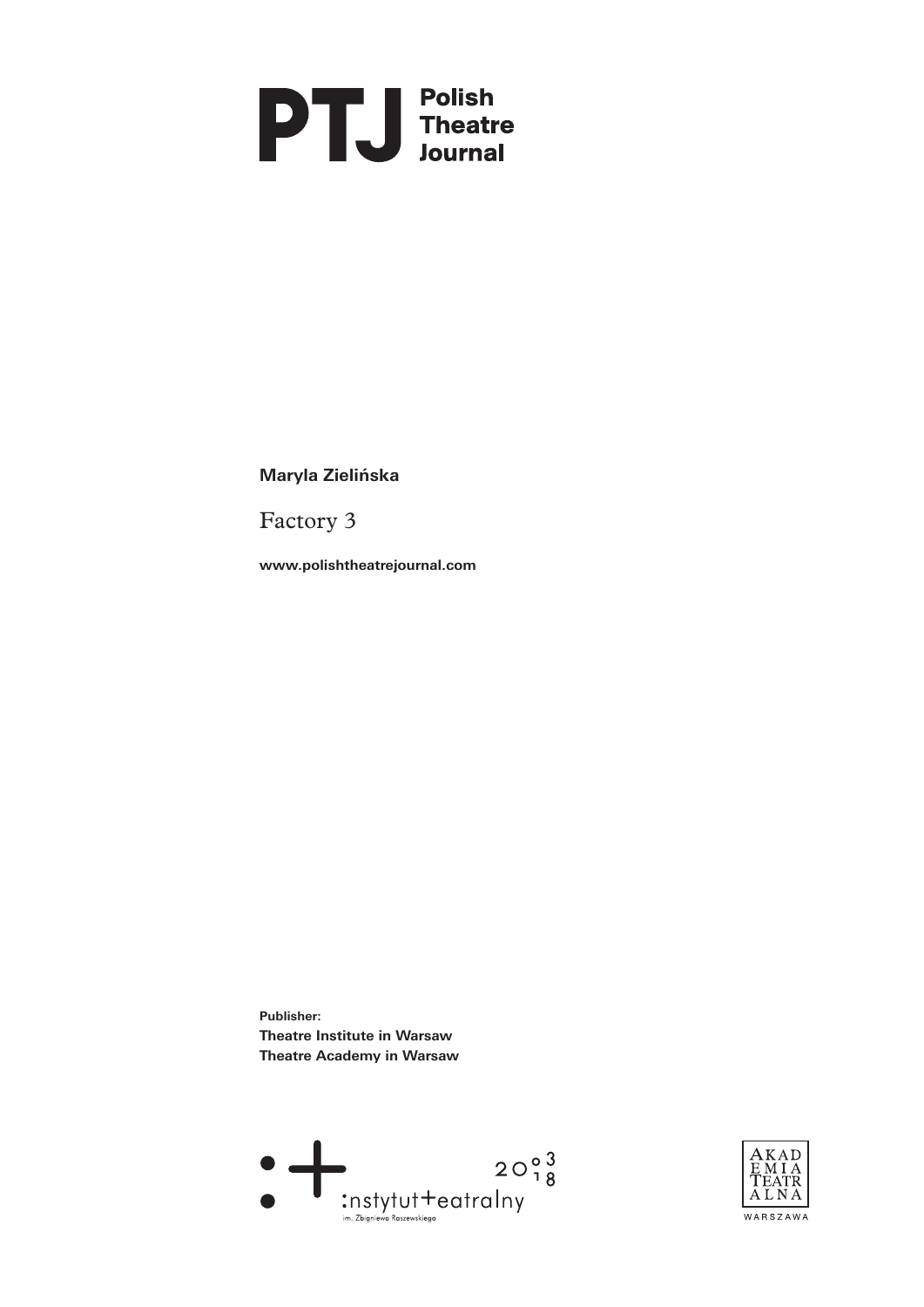

**Maryla Zielińska**

Factory 3

**www.polishtheatrejournal.com**

**Publisher: Theatre Institute in Warsaw Theatre Academy in Warsaw** 



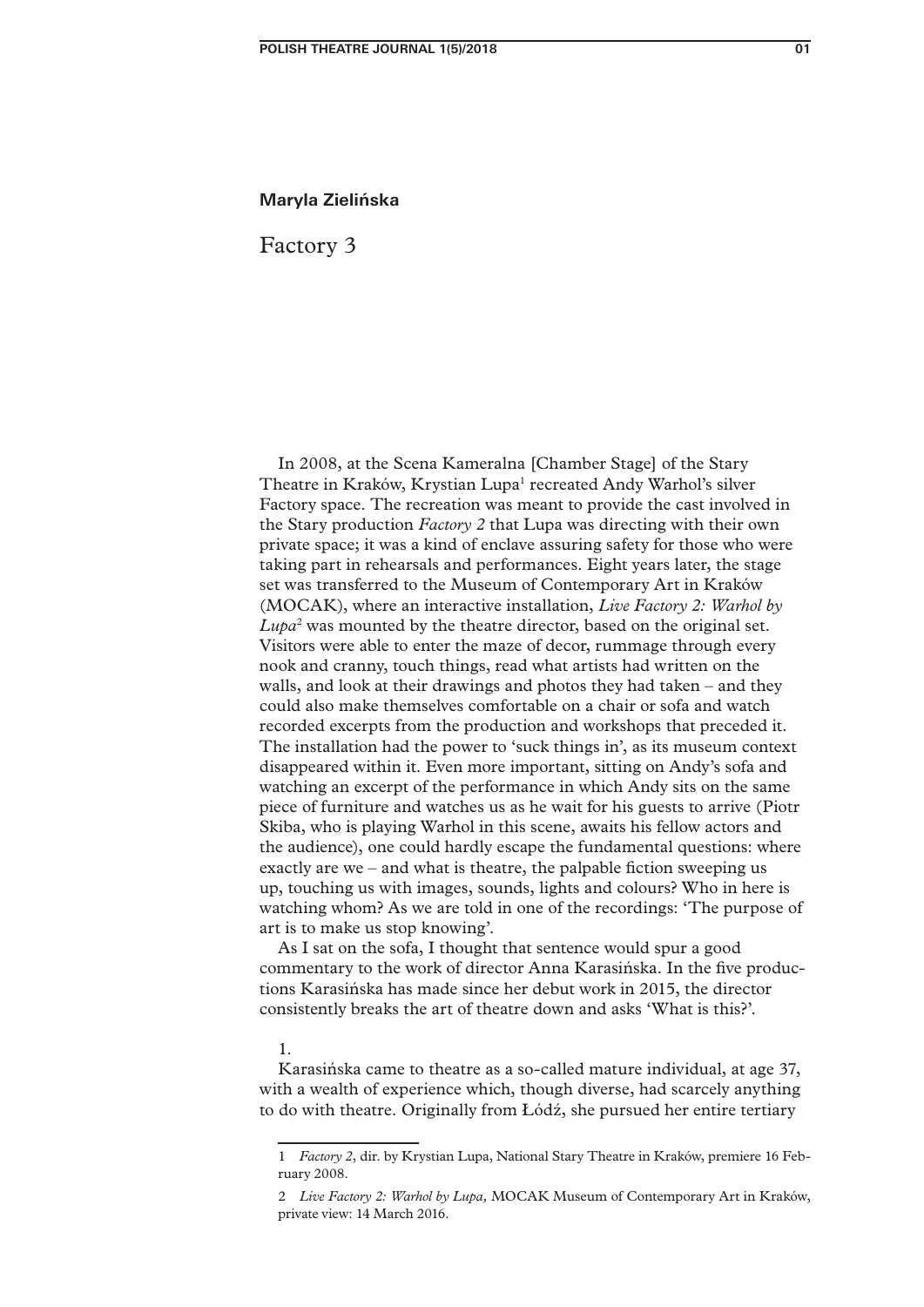## **Maryla Zielińska**

Factory 3

In 2008, at the Scena Kameralna [Chamber Stage] of the Stary Theatre in Kraków, Krystian Lupa<sup>1</sup> recreated Andy Warhol's silver Factory space. The recreation was meant to provide the cast involved in the Stary production *Factory 2* that Lupa was directing with their own private space; it was a kind of enclave assuring safety for those who were taking part in rehearsals and performances. Eight years later, the stage set was transferred to the Museum of Contemporary Art in Kraków (MOCAK), where an interactive installation, *Live Factory 2: Warhol by Lupa*<sup>2</sup> was mounted by the theatre director, based on the original set. Visitors were able to enter the maze of decor, rummage through every nook and cranny, touch things, read what artists had written on the walls, and look at their drawings and photos they had taken – and they could also make themselves comfortable on a chair or sofa and watch recorded excerpts from the production and workshops that preceded it. The installation had the power to 'suck things in', as its museum context disappeared within it. Even more important, sitting on Andy's sofa and watching an excerpt of the performance in which Andy sits on the same piece of furniture and watches us as he wait for his guests to arrive (Piotr Skiba, who is playing Warhol in this scene, awaits his fellow actors and the audience), one could hardly escape the fundamental questions: where exactly are we – and what is theatre, the palpable fiction sweeping us up, touching us with images, sounds, lights and colours? Who in here is watching whom? As we are told in one of the recordings: 'The purpose of art is to make us stop knowing'.

As I sat on the sofa, I thought that sentence would spur a good commentary to the work of director Anna Karasińska. In the five productions Karasińska has made since her debut work in 2015, the director consistently breaks the art of theatre down and asks 'What is this?'.

### 1.

Karasińska came to theatre as a so-called mature individual, at age 37, with a wealth of experience which, though diverse, had scarcely anything to do with theatre. Originally from Łódź, she pursued her entire tertiary

<sup>1</sup> *Factory 2*, dir. by Krystian Lupa, National Stary Theatre in Kraków, premiere 16 February 2008.

<sup>2</sup> *Live Factory 2: Warhol by Lupa,* MOCAK Museum of Contemporary Art in Kraków, private view: 14 March 2016.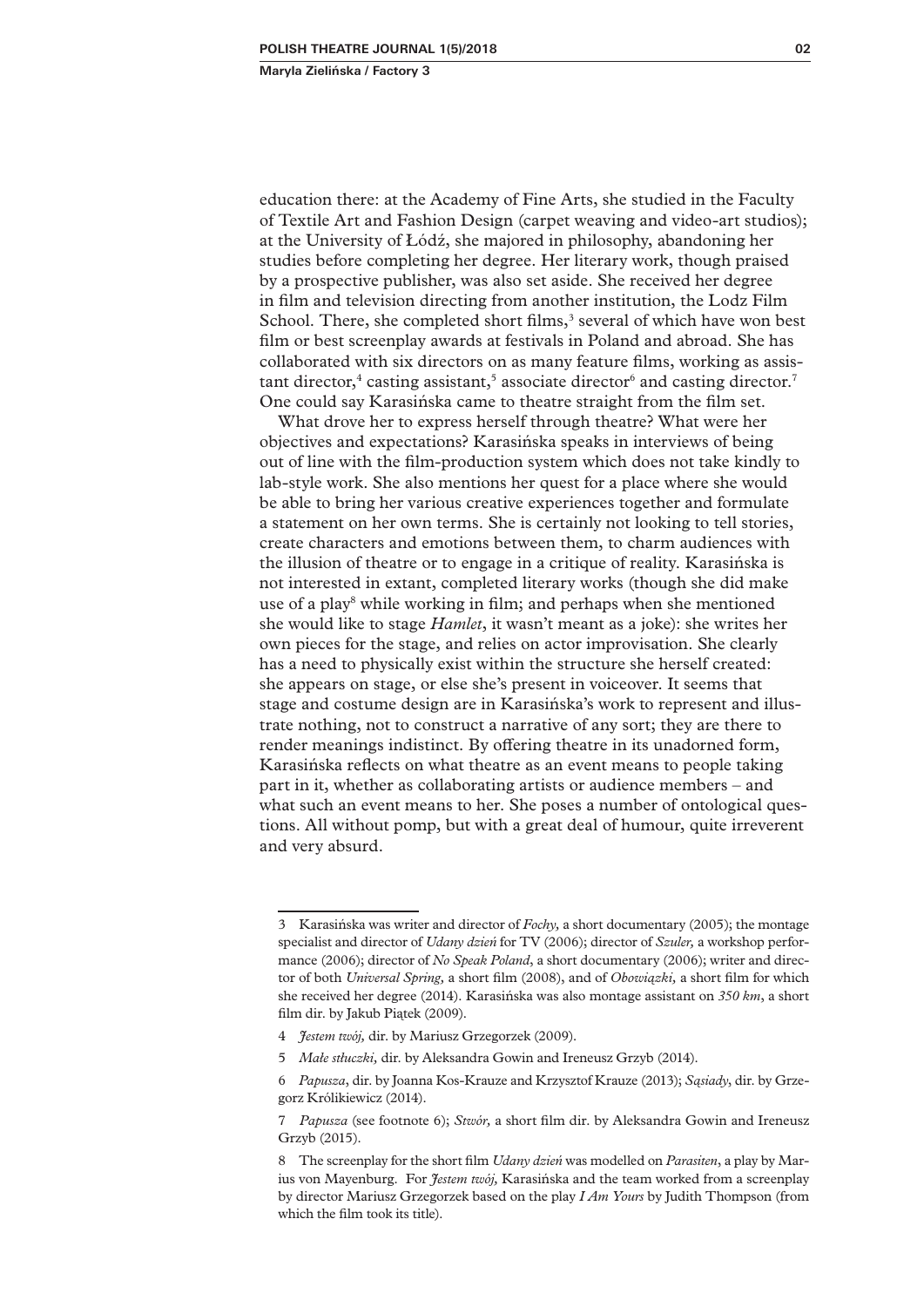education there: at the Academy of Fine Arts, she studied in the Faculty of Textile Art and Fashion Design (carpet weaving and video-art studios); at the University of Łódź, she majored in philosophy, abandoning her studies before completing her degree. Her literary work, though praised by a prospective publisher, was also set aside. She received her degree in film and television directing from another institution, the Lodz Film School. There, she completed short films,<sup>3</sup> several of which have won best film or best screenplay awards at festivals in Poland and abroad. She has collaborated with six directors on as many feature films, working as assistant director,<sup>4</sup> casting assistant,<sup>5</sup> associate director<sup>6</sup> and casting director.<sup>7</sup> One could say Karasińska came to theatre straight from the film set.

What drove her to express herself through theatre? What were her objectives and expectations? Karasińska speaks in interviews of being out of line with the film-production system which does not take kindly to lab-style work. She also mentions her quest for a place where she would be able to bring her various creative experiences together and formulate a statement on her own terms. She is certainly not looking to tell stories, create characters and emotions between them, to charm audiences with the illusion of theatre or to engage in a critique of reality. Karasińska is not interested in extant, completed literary works (though she did make use of a play<sup>8</sup> while working in film; and perhaps when she mentioned she would like to stage *Hamlet*, it wasn't meant as a joke): she writes her own pieces for the stage, and relies on actor improvisation. She clearly has a need to physically exist within the structure she herself created: she appears on stage, or else she's present in voiceover. It seems that stage and costume design are in Karasińska's work to represent and illustrate nothing, not to construct a narrative of any sort; they are there to render meanings indistinct. By offering theatre in its unadorned form, Karasińska reflects on what theatre as an event means to people taking part in it, whether as collaborating artists or audience members – and what such an event means to her. She poses a number of ontological questions. All without pomp, but with a great deal of humour, quite irreverent and very absurd.

<sup>3</sup> Karasińska was writer and director of *Fochy,* a short documentary (2005); the montage specialist and director of *Udany dzień* for TV (2006); director of *Szuler,* a workshop performance (2006); director of *No Speak Poland*, a short documentary (2006); writer and director of both *Universal Spring,* a short film (2008), and of *Obowiązki,* a short film for which she received her degree (2014). Karasińska was also montage assistant on *350 km*, a short film dir. by Jakub Piątek (2009).

<sup>4</sup> *Jestem twój,* dir. by Mariusz Grzegorzek (2009).

<sup>5</sup> *Małe stłuczki,* dir. by Aleksandra Gowin and Ireneusz Grzyb (2014).

<sup>6</sup> *Papusza*, dir. by Joanna Kos-Krauze and Krzysztof Krauze (2013); *Sąsiady*, dir. by Grzegorz Królikiewicz (2014).

<sup>7</sup> *Papusza* (see footnote 6); *Stwór,* a short film dir. by Aleksandra Gowin and Ireneusz Grzyb (2015).

<sup>8</sup> The screenplay for the short film *Udany dzień* was modelled on *Parasiten*, a play by Marius von Mayenburg. For *Jestem twój,* Karasińska and the team worked from a screenplay by director Mariusz Grzegorzek based on the play *I Am Yours* by Judith Thompson (from which the film took its title).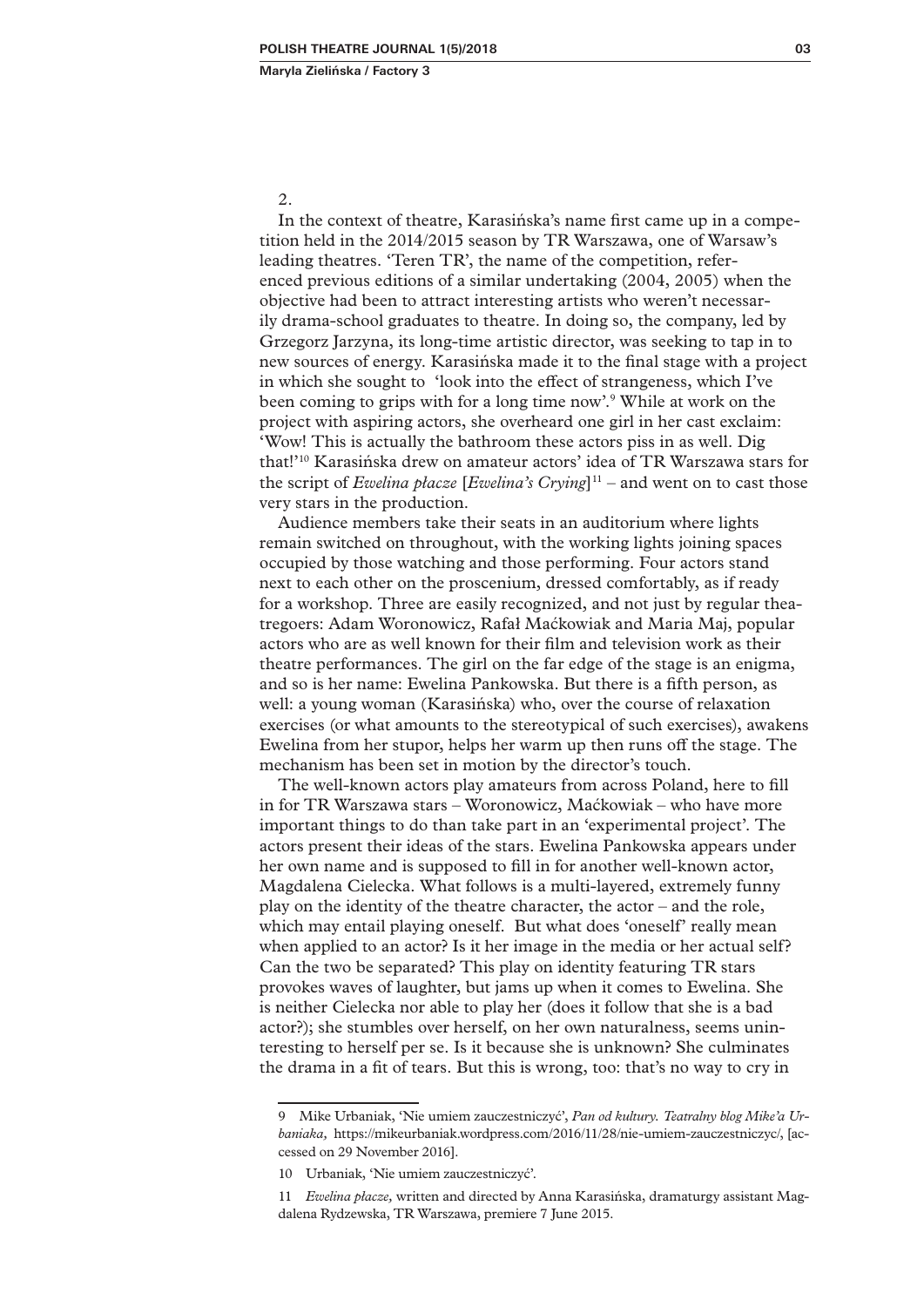2.

In the context of theatre, Karasińska's name first came up in a competition held in the 2014/2015 season by TR Warszawa, one of Warsaw's leading theatres. 'Teren TR', the name of the competition, referenced previous editions of a similar undertaking (2004, 2005) when the objective had been to attract interesting artists who weren't necessarily drama-school graduates to theatre. In doing so, the company, led by Grzegorz Jarzyna, its long-time artistic director, was seeking to tap in to new sources of energy. Karasińska made it to the final stage with a project in which she sought to 'look into the effect of strangeness, which I've been coming to grips with for a long time now'.<sup>9</sup> While at work on the project with aspiring actors, she overheard one girl in her cast exclaim: 'Wow! This is actually the bathroom these actors piss in as well. Dig that!'10 Karasińska drew on amateur actors' idea of TR Warszawa stars for the script of *Ewelina płacze* [*Ewelina's Crying*]<sup>11</sup> – and went on to cast those very stars in the production.

Audience members take their seats in an auditorium where lights remain switched on throughout, with the working lights joining spaces occupied by those watching and those performing. Four actors stand next to each other on the proscenium, dressed comfortably, as if ready for a workshop. Three are easily recognized, and not just by regular theatregoers: Adam Woronowicz, Rafał Maćkowiak and Maria Maj, popular actors who are as well known for their film and television work as their theatre performances. The girl on the far edge of the stage is an enigma, and so is her name: Ewelina Pankowska. But there is a fifth person, as well: a young woman (Karasińska) who, over the course of relaxation exercises (or what amounts to the stereotypical of such exercises), awakens Ewelina from her stupor, helps her warm up then runs off the stage. The mechanism has been set in motion by the director's touch.

The well-known actors play amateurs from across Poland, here to fill in for TR Warszawa stars – Woronowicz, Maćkowiak – who have more important things to do than take part in an 'experimental project'. The actors present their ideas of the stars. Ewelina Pankowska appears under her own name and is supposed to fill in for another well-known actor, Magdalena Cielecka. What follows is a multi-layered, extremely funny play on the identity of the theatre character, the actor – and the role, which may entail playing oneself. But what does 'oneself' really mean when applied to an actor? Is it her image in the media or her actual self? Can the two be separated? This play on identity featuring TR stars provokes waves of laughter, but jams up when it comes to Ewelina. She is neither Cielecka nor able to play her (does it follow that she is a bad actor?); she stumbles over herself, on her own naturalness, seems uninteresting to herself per se. Is it because she is unknown? She culminates the drama in a fit of tears. But this is wrong, too: that's no way to cry in

<sup>9</sup> Mike Urbaniak, 'Nie umiem zauczestniczyć', *Pan od kultury. Teatralny blog Mike'a Urbaniaka,* https://mikeurbaniak.wordpress.com/2016/11/28/nie-umiem-zauczestniczyc/, [accessed on 29 November 2016].

<sup>10</sup> Urbaniak, 'Nie umiem zauczestniczyć'.

<sup>11</sup> *Ewelina płacze,* written and directed by Anna Karasińska, dramaturgy assistant Magdalena Rydzewska, TR Warszawa, premiere 7 June 2015.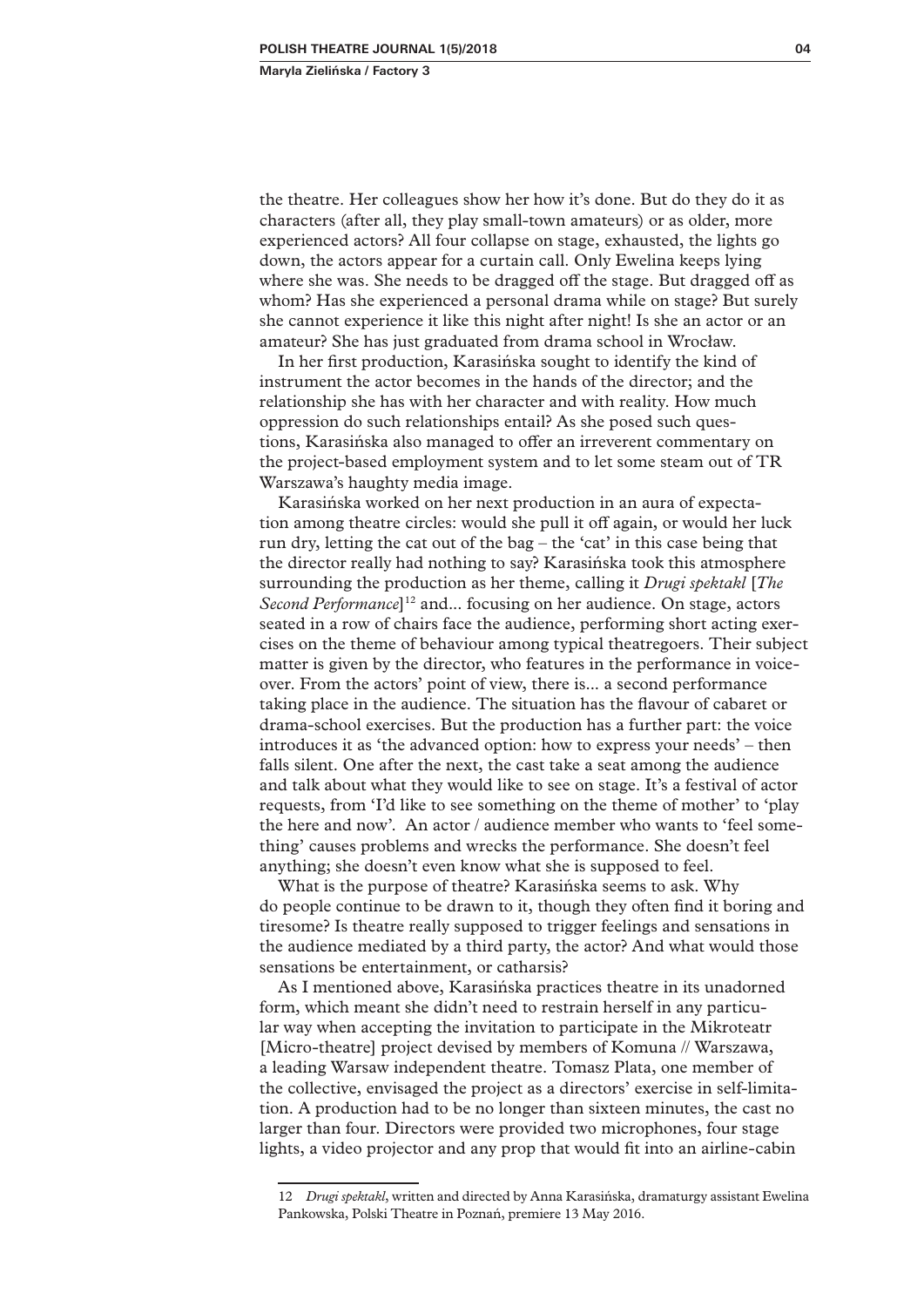the theatre. Her colleagues show her how it's done. But do they do it as characters (after all, they play small-town amateurs) or as older, more experienced actors? All four collapse on stage, exhausted, the lights go down, the actors appear for a curtain call. Only Ewelina keeps lying where she was. She needs to be dragged off the stage. But dragged off as whom? Has she experienced a personal drama while on stage? But surely she cannot experience it like this night after night! Is she an actor or an amateur? She has just graduated from drama school in Wrocław.

In her first production, Karasińska sought to identify the kind of instrument the actor becomes in the hands of the director; and the relationship she has with her character and with reality. How much oppression do such relationships entail? As she posed such questions, Karasińska also managed to offer an irreverent commentary on the project-based employment system and to let some steam out of TR Warszawa's haughty media image.

Karasińska worked on her next production in an aura of expectation among theatre circles: would she pull it off again, or would her luck run dry, letting the cat out of the bag – the 'cat' in this case being that the director really had nothing to say? Karasińska took this atmosphere surrounding the production as her theme, calling it *Drugi spektakl* [*The Second Performance*<sup>12</sup> and... focusing on her audience. On stage, actors seated in a row of chairs face the audience, performing short acting exercises on the theme of behaviour among typical theatregoers. Their subject matter is given by the director, who features in the performance in voiceover. From the actors' point of view, there is... a second performance taking place in the audience. The situation has the flavour of cabaret or drama-school exercises. But the production has a further part: the voice introduces it as 'the advanced option: how to express your needs' – then falls silent. One after the next, the cast take a seat among the audience and talk about what they would like to see on stage. It's a festival of actor requests, from 'I'd like to see something on the theme of mother' to 'play the here and now'. An actor / audience member who wants to 'feel something' causes problems and wrecks the performance. She doesn't feel anything; she doesn't even know what she is supposed to feel.

What is the purpose of theatre? Karasińska seems to ask. Why do people continue to be drawn to it, though they often find it boring and tiresome? Is theatre really supposed to trigger feelings and sensations in the audience mediated by a third party, the actor? And what would those sensations be entertainment, or catharsis?

As I mentioned above, Karasińska practices theatre in its unadorned form, which meant she didn't need to restrain herself in any particular way when accepting the invitation to participate in the Mikroteatr [Micro-theatre] project devised by members of Komuna // Warszawa, a leading Warsaw independent theatre. Tomasz Plata, one member of the collective, envisaged the project as a directors' exercise in self-limitation. A production had to be no longer than sixteen minutes, the cast no larger than four. Directors were provided two microphones, four stage lights, a video projector and any prop that would fit into an airline-cabin

<sup>12</sup> *Drugi spektakl*, written and directed by Anna Karasińska, dramaturgy assistant Ewelina Pankowska, Polski Theatre in Poznań, premiere 13 May 2016.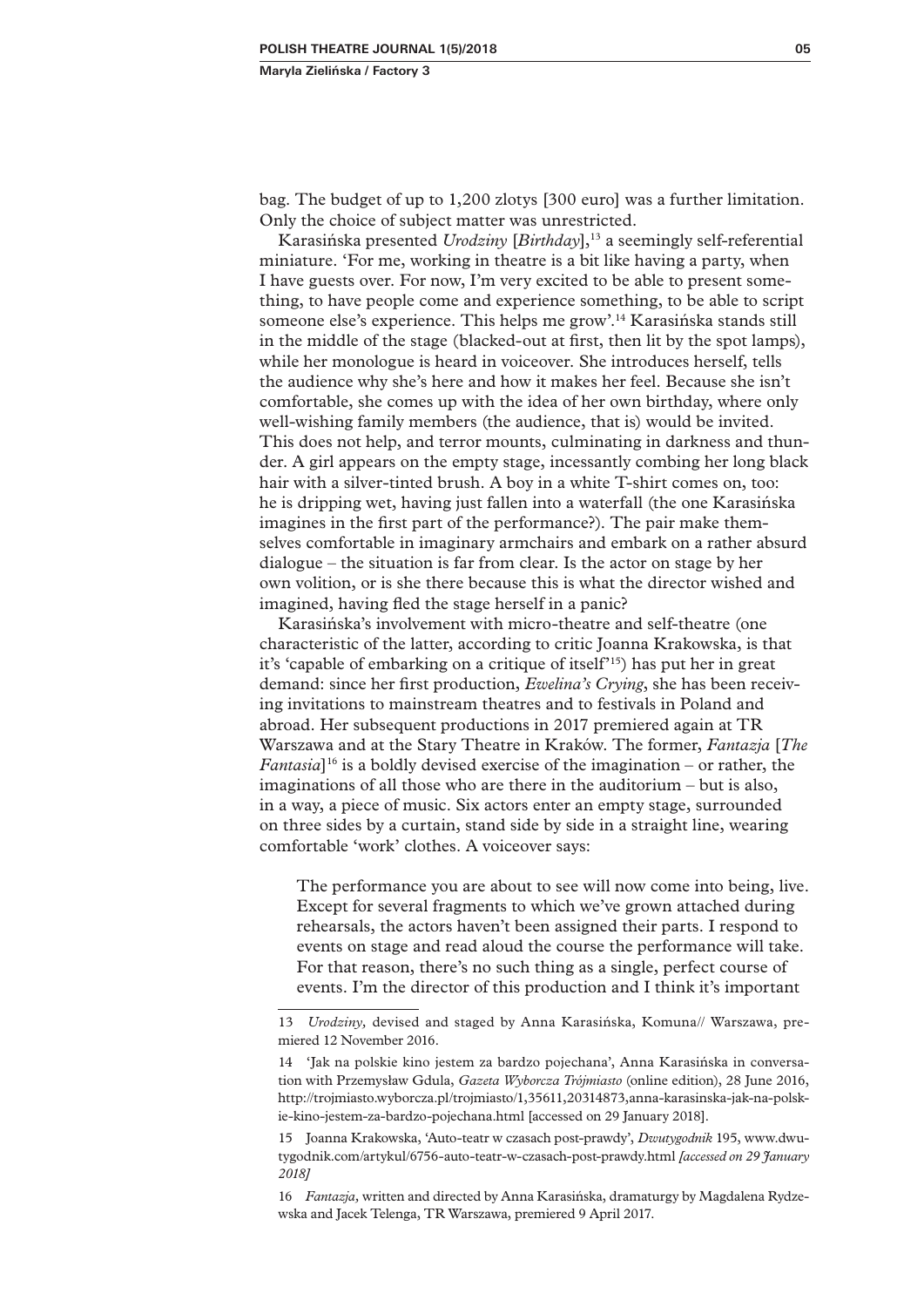bag. The budget of up to 1,200 zlotys [300 euro] was a further limitation. Only the choice of subject matter was unrestricted.

Karasińska presented *Urodziny* [*Birthday*],<sup>13</sup> a seemingly self-referential miniature. 'For me, working in theatre is a bit like having a party, when I have guests over. For now, I'm very excited to be able to present something, to have people come and experience something, to be able to script someone else's experience. This helps me grow'.14 Karasińska stands still in the middle of the stage (blacked-out at first, then lit by the spot lamps), while her monologue is heard in voiceover. She introduces herself, tells the audience why she's here and how it makes her feel. Because she isn't comfortable, she comes up with the idea of her own birthday, where only well-wishing family members (the audience, that is) would be invited. This does not help, and terror mounts, culminating in darkness and thunder. A girl appears on the empty stage, incessantly combing her long black hair with a silver-tinted brush. A boy in a white T-shirt comes on, too: he is dripping wet, having just fallen into a waterfall (the one Karasińska imagines in the first part of the performance?). The pair make themselves comfortable in imaginary armchairs and embark on a rather absurd dialogue – the situation is far from clear. Is the actor on stage by her own volition, or is she there because this is what the director wished and imagined, having fled the stage herself in a panic?

Karasińska's involvement with micro-theatre and self-theatre (one characteristic of the latter, according to critic Joanna Krakowska, is that it's 'capable of embarking on a critique of itself'15) has put her in great demand: since her first production, *Ewelina's Crying*, she has been receiving invitations to mainstream theatres and to festivals in Poland and abroad. Her subsequent productions in 2017 premiered again at TR Warszawa and at the Stary Theatre in Kraków. The former, *Fantazja* [*The Fantasia*]16 is a boldly devised exercise of the imagination – or rather, the imaginations of all those who are there in the auditorium – but is also, in a way, a piece of music. Six actors enter an empty stage, surrounded on three sides by a curtain, stand side by side in a straight line, wearing comfortable 'work' clothes. A voiceover says:

The performance you are about to see will now come into being, live. Except for several fragments to which we've grown attached during rehearsals, the actors haven't been assigned their parts. I respond to events on stage and read aloud the course the performance will take. For that reason, there's no such thing as a single, perfect course of events. I'm the director of this production and I think it's important

<sup>13</sup> *Urodziny,* devised and staged by Anna Karasińska, Komuna// Warszawa, premiered 12 November 2016.

<sup>14</sup> 'Jak na polskie kino jestem za bardzo pojechana', Anna Karasińska in conversation with Przemysław Gdula, *Gazeta Wyborcza Trójmiasto* (online edition), 28 June 2016, http://trojmiasto.wyborcza.pl/trojmiasto/1,35611,20314873,anna-karasinska-jak-na-polskie-kino-jestem-za-bardzo-pojechana.html [accessed on 29 January 2018].

<sup>15</sup> Joanna Krakowska, 'Auto-teatr w czasach post-prawdy', *Dwutygodnik* 195, www.dwutygodnik.com/artykul/6756-auto-teatr-w-czasach-post-prawdy.html *[accessed on 29 January 2018]*

<sup>16</sup> *Fantazja,* written and directed by Anna Karasińska, dramaturgy by Magdalena Rydzewska and Jacek Telenga, TR Warszawa, premiered 9 April 2017.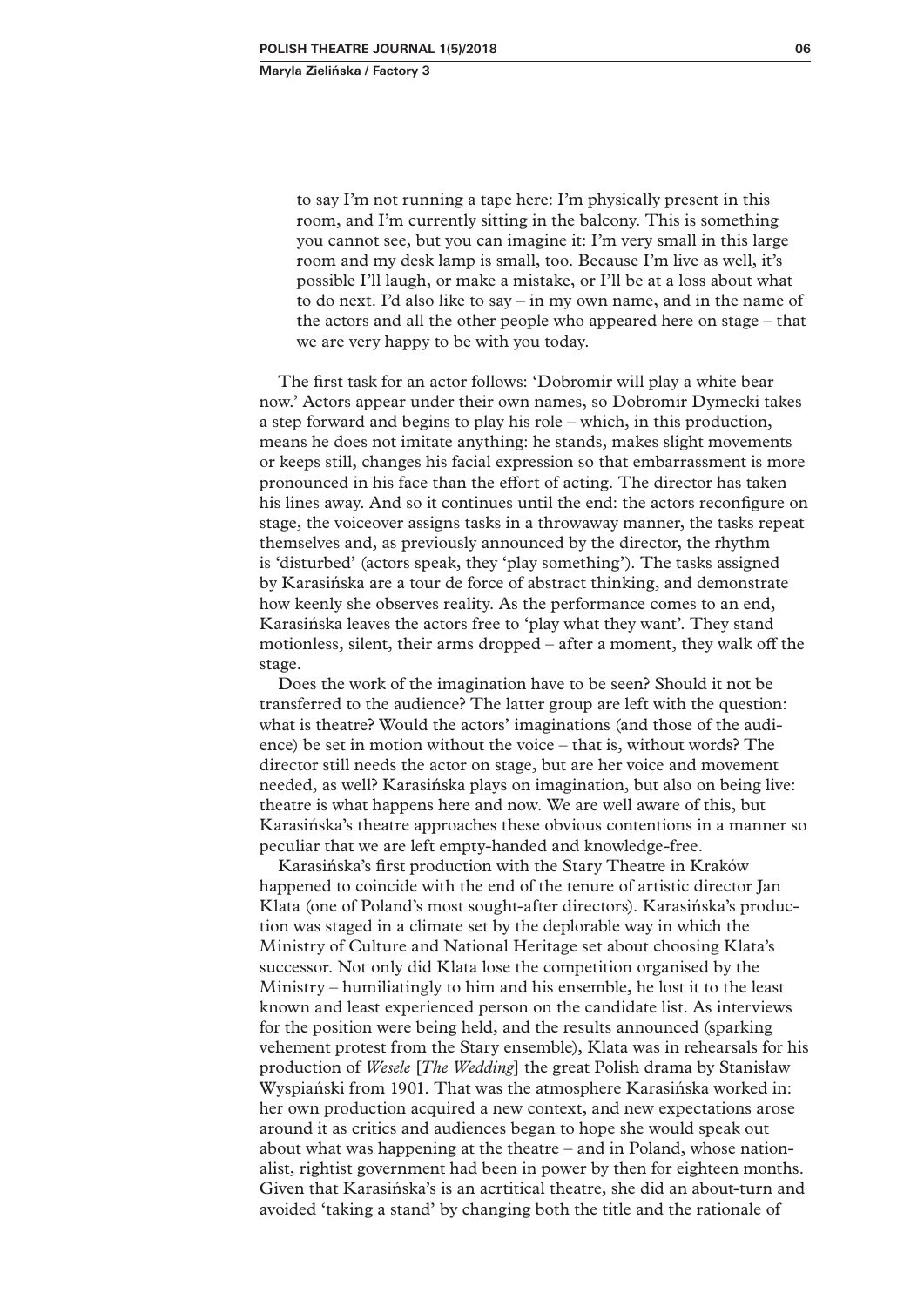to say I'm not running a tape here: I'm physically present in this room, and I'm currently sitting in the balcony. This is something you cannot see, but you can imagine it: I'm very small in this large room and my desk lamp is small, too. Because I'm live as well, it's possible I'll laugh, or make a mistake, or I'll be at a loss about what to do next. I'd also like to say – in my own name, and in the name of the actors and all the other people who appeared here on stage – that we are very happy to be with you today.

The first task for an actor follows: 'Dobromir will play a white bear now.' Actors appear under their own names, so Dobromir Dymecki takes a step forward and begins to play his role – which, in this production, means he does not imitate anything: he stands, makes slight movements or keeps still, changes his facial expression so that embarrassment is more pronounced in his face than the effort of acting. The director has taken his lines away. And so it continues until the end: the actors reconfigure on stage, the voiceover assigns tasks in a throwaway manner, the tasks repeat themselves and, as previously announced by the director, the rhythm is 'disturbed' (actors speak, they 'play something'). The tasks assigned by Karasińska are a tour de force of abstract thinking, and demonstrate how keenly she observes reality. As the performance comes to an end, Karasińska leaves the actors free to 'play what they want'. They stand motionless, silent, their arms dropped – after a moment, they walk off the stage.

Does the work of the imagination have to be seen? Should it not be transferred to the audience? The latter group are left with the question: what is theatre? Would the actors' imaginations (and those of the audience) be set in motion without the voice – that is, without words? The director still needs the actor on stage, but are her voice and movement needed, as well? Karasińska plays on imagination, but also on being live: theatre is what happens here and now. We are well aware of this, but Karasińska's theatre approaches these obvious contentions in a manner so peculiar that we are left empty-handed and knowledge-free.

Karasińska's first production with the Stary Theatre in Kraków happened to coincide with the end of the tenure of artistic director Jan Klata (one of Poland's most sought-after directors). Karasińska's production was staged in a climate set by the deplorable way in which the Ministry of Culture and National Heritage set about choosing Klata's successor. Not only did Klata lose the competition organised by the Ministry – humiliatingly to him and his ensemble, he lost it to the least known and least experienced person on the candidate list. As interviews for the position were being held, and the results announced (sparking vehement protest from the Stary ensemble), Klata was in rehearsals for his production of *Wesele* [*The Wedding*] the great Polish drama by Stanisław Wyspiański from 1901. That was the atmosphere Karasińska worked in: her own production acquired a new context, and new expectations arose around it as critics and audiences began to hope she would speak out about what was happening at the theatre – and in Poland, whose nationalist, rightist government had been in power by then for eighteen months. Given that Karasińska's is an acrtitical theatre, she did an about-turn and avoided 'taking a stand' by changing both the title and the rationale of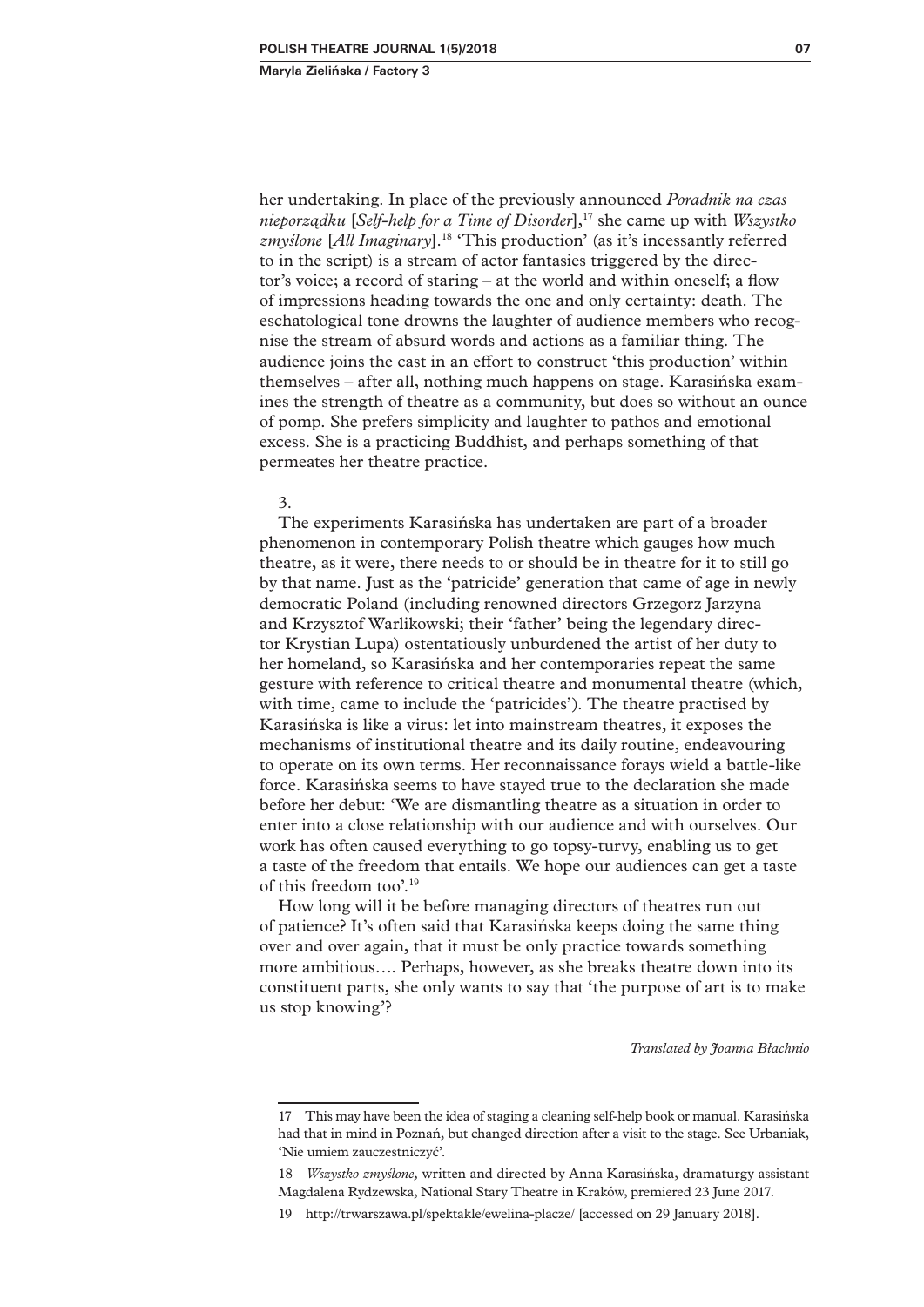her undertaking. In place of the previously announced *Poradnik na czas nieporządku* [*Self-help for a Time of Disorder*],17 she came up with *Wszystko zmyślone* [*All Imaginary*].18 'This production' (as it's incessantly referred to in the script) is a stream of actor fantasies triggered by the director's voice; a record of staring – at the world and within oneself; a flow of impressions heading towards the one and only certainty: death. The eschatological tone drowns the laughter of audience members who recognise the stream of absurd words and actions as a familiar thing. The audience joins the cast in an effort to construct 'this production' within themselves – after all, nothing much happens on stage. Karasińska examines the strength of theatre as a community, but does so without an ounce of pomp. She prefers simplicity and laughter to pathos and emotional excess. She is a practicing Buddhist, and perhaps something of that permeates her theatre practice.

#### 3.

The experiments Karasińska has undertaken are part of a broader phenomenon in contemporary Polish theatre which gauges how much theatre, as it were, there needs to or should be in theatre for it to still go by that name. Just as the 'patricide' generation that came of age in newly democratic Poland (including renowned directors Grzegorz Jarzyna and Krzysztof Warlikowski; their 'father' being the legendary director Krystian Lupa) ostentatiously unburdened the artist of her duty to her homeland, so Karasińska and her contemporaries repeat the same gesture with reference to critical theatre and monumental theatre (which, with time, came to include the 'patricides'). The theatre practised by Karasińska is like a virus: let into mainstream theatres, it exposes the mechanisms of institutional theatre and its daily routine, endeavouring to operate on its own terms. Her reconnaissance forays wield a battle-like force. Karasińska seems to have stayed true to the declaration she made before her debut: 'We are dismantling theatre as a situation in order to enter into a close relationship with our audience and with ourselves. Our work has often caused everything to go topsy-turvy, enabling us to get a taste of the freedom that entails. We hope our audiences can get a taste of this freedom too'.19

How long will it be before managing directors of theatres run out of patience? It's often said that Karasińska keeps doing the same thing over and over again, that it must be only practice towards something more ambitious…. Perhaps, however, as she breaks theatre down into its constituent parts, she only wants to say that 'the purpose of art is to make us stop knowing'?

*Translated by Joanna Błachnio* 

<sup>17</sup> This may have been the idea of staging a cleaning self-help book or manual. Karasińska had that in mind in Poznań, but changed direction after a visit to the stage. See Urbaniak, 'Nie umiem zauczestniczyć'.

<sup>18</sup> *Wszystko zmyślone,* written and directed by Anna Karasińska, dramaturgy assistant Magdalena Rydzewska, National Stary Theatre in Kraków, premiered 23 June 2017.

<sup>19</sup> http://trwarszawa.pl/spektakle/ewelina-placze/ [accessed on 29 January 2018].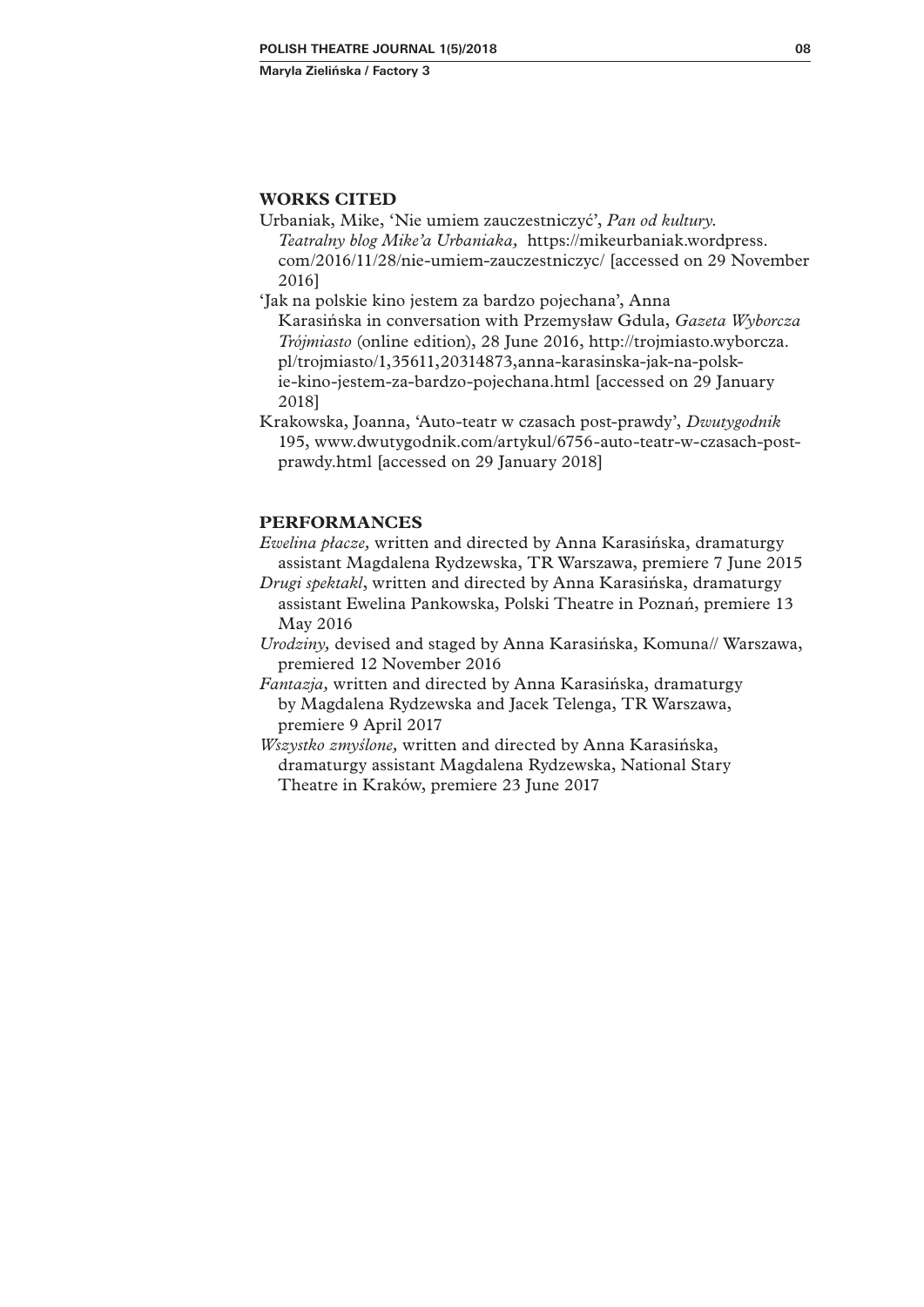### **WORKS CITED**

Urbaniak, Mike, 'Nie umiem zauczestniczyć', *Pan od kultury. Teatralny blog Mike'a Urbaniaka,* https://mikeurbaniak.wordpress. com/2016/11/28/nie-umiem-zauczestniczyc/ [accessed on 29 November 2016]

'Jak na polskie kino jestem za bardzo pojechana', Anna

Karasińska in conversation with Przemysław Gdula, *Gazeta Wyborcza Trójmiasto* (online edition), 28 June 2016, http://trojmiasto.wyborcza. pl/trojmiasto/1,35611,20314873,anna-karasinska-jak-na-polskie-kino-jestem-za-bardzo-pojechana.html [accessed on 29 January 2018]

Krakowska, Joanna, 'Auto-teatr w czasach post-prawdy', *Dwutygodnik*  195, www.dwutygodnik.com/artykul/6756-auto-teatr-w-czasach-postprawdy.html [accessed on 29 January 2018]

# **PERFORMANCES**

- *Ewelina płacze,* written and directed by Anna Karasińska, dramaturgy assistant Magdalena Rydzewska, TR Warszawa, premiere 7 June 2015
- *Drugi spektakl*, written and directed by Anna Karasińska, dramaturgy assistant Ewelina Pankowska, Polski Theatre in Poznań, premiere 13 May 2016
- *Urodziny,* devised and staged by Anna Karasińska, Komuna// Warszawa, premiered 12 November 2016
- *Fantazja,* written and directed by Anna Karasińska, dramaturgy by Magdalena Rydzewska and Jacek Telenga, TR Warszawa, premiere 9 April 2017
- *Wszystko zmyślone,* written and directed by Anna Karasińska, dramaturgy assistant Magdalena Rydzewska, National Stary Theatre in Kraków, premiere 23 June 2017